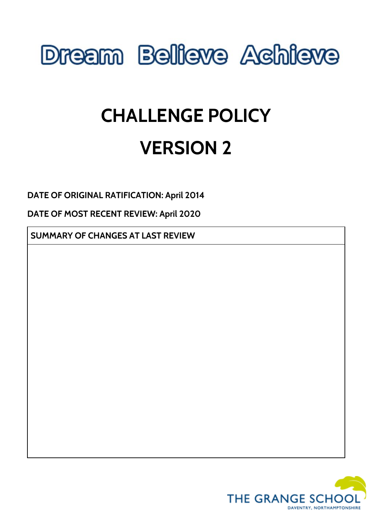

# **CHALLENGE POLICY VERSION 2**

**DATE OF ORIGINAL RATIFICATION: April 2014**

**DATE OF MOST RECENT REVIEW: April 2020**

**SUMMARY OF CHANGES AT LAST REVIEW**

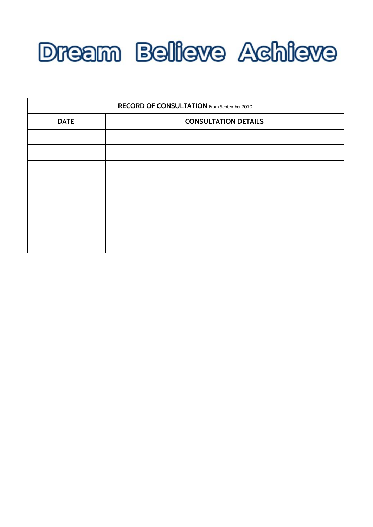

| <b>RECORD OF CONSULTATION</b> From September 2020 |                             |
|---------------------------------------------------|-----------------------------|
| <b>DATE</b>                                       | <b>CONSULTATION DETAILS</b> |
|                                                   |                             |
|                                                   |                             |
|                                                   |                             |
|                                                   |                             |
|                                                   |                             |
|                                                   |                             |
|                                                   |                             |
|                                                   |                             |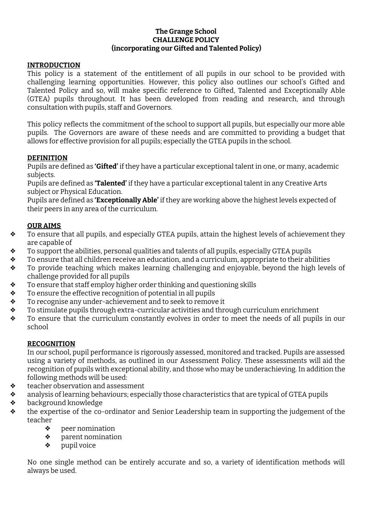#### **The Grange School CHALLENGE POLICY (incorporating our Gifted and Talented Policy)**

### **INTRODUCTION**

This policy is a statement of the entitlement of all pupils in our school to be provided with challenging learning opportunities. However, this policy also outlines our school's Gifted and Talented Policy and so, will make specific reference to Gifted, Talented and Exceptionally Able (GTEA) pupils throughout. It has been developed from reading and research, and through consultation with pupils, staff and Governors.

This policy reflects the commitment of the school to support all pupils, but especially our more able pupils. The Governors are aware of these needs and are committed to providing a budget that allows for effective provision for all pupils; especially the GTEA pupils in the school.

## **DEFINITION**

Pupils are defined as **'Gifted'** if they have a particular exceptional talent in one, or many, academic subjects.

Pupils are defined as **'Talented'** if they have a particular exceptional talent in any Creative Arts subject or Physical Education.

Pupils are defined as **'Exceptionally Able'** if they are working above the highest levels expected of their peers in any area of the curriculum.

## **OUR AIMS**

- ❖ To ensure that all pupils, and especially GTEA pupils, attain the highest levels of achievement they are capable of
- ❖ To support the abilities, personal qualities and talents of all pupils, especially GTEA pupils
	- ❖ To ensure that all children receive an education, and a curriculum, appropriate to their abilities
- ❖ To provide teaching which makes learning challenging and enjoyable, beyond the high levels of challenge provided for all pupils
- ❖ To ensure that staff employ higher order thinking and questioning skills
- ❖ To ensure the effective recognition of potential in all pupils
- ❖ To recognise any under-achievement and to seek to remove it
- ❖ To stimulate pupils through extra-curricular activities and through curriculum enrichment
- ❖ To ensure that the curriculum constantly evolves in order to meet the needs of all pupils in our school

#### **RECOGNITION**

In our school, pupil performance is rigorously assessed, monitored and tracked. Pupils are assessed using a variety of methods, as outlined in our Assessment Policy. These assessments will aid the recognition of pupils with exceptional ability, and those who may be underachieving. In addition the following methods will be used:

- ❖ teacher observation and assessment
- ❖ analysis of learning behaviours; especially those characteristics that are typical of GTEA pupils
- ❖ background knowledge
- ❖ the expertise of the co-ordinator and Senior Leadership team in supporting the judgement of the teacher
	- ❖ peer nomination
	- ❖ parent nomination
	- ❖ pupil voice

No one single method can be entirely accurate and so, a variety of identification methods will always be used.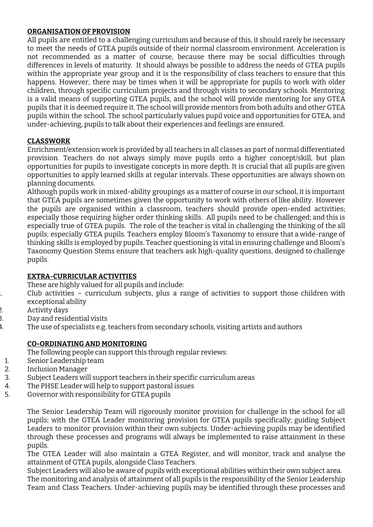# **ORGANISATION OF PROVISION**

All pupils are entitled to a challenging curriculum and because of this, it should rarely be necessary to meet the needs of GTEA pupils outside of their normal classroom environment. Acceleration is not recommended as a matter of course, because there may be social difficulties through differences in levels of maturity. It should always be possible to address the needs of GTEA pupils within the appropriate year group and it is the responsibility of class teachers to ensure that this happens. However, there may be times when it will be appropriate for pupils to work with older children, through specific curriculum projects and through visits to secondary schools. Mentoring is a valid means of supporting GTEA pupils, and the school will provide mentoring for any GTEA pupils that it is deemed require it. The school will provide mentors from both adults and other GTEA pupils within the school. The school particularly values pupil voice and opportunities for GTEA, and under-achieving, pupils to talk about their experiences and feelings are ensured.

# **CLASSWORK**

Enrichment/extension work is provided by all teachers in all classes as part of normal differentiated provision. Teachers do not always simply move pupils onto a higher concept/skill, but plan opportunities for pupils to investigate concepts in more depth. It is crucial that all pupils are given opportunities to apply learned skills at regular intervals. These opportunities are always shown on planning documents.

Although pupils work in mixed-ability groupings as a matter of course in our school, it is important that GTEA pupils are sometimes given the opportunity to work with others of like ability. However the pupils are organised within a classroom, teachers should provide open-ended activities; especially those requiring higher order thinking skills. All pupils need to be challenged; and this is especially true of GTEA pupils. The role of the teacher is vital in challenging the thinking of the all pupils; especially GTEA pupils. Teachers employ Bloom's Taxonomy to ensure that a wide-range of thinking skills is employed by pupils. Teacher questioning is vital in ensuring challenge and Bloom's Taxonomy Question Stems ensure that teachers ask high-quality questions, designed to challenge pupils.

# **EXTRA-CURRICULAR ACTIVITIES**

These are highly valued for all pupils and include:

- Club activities curriculum subjects, plus a range of activities to support those children with exceptional ability
- 2. Activity days
- 3. Day and residential visits
	- The use of specialists e.g. teachers from secondary schools, visiting artists and authors

# **CO-ORDINATING AND MONITORING**

The following people can support this through regular reviews:

- 1. Senior Leadership team
- 2. Inclusion Manager
- 3. Subject Leaders will support teachers in their specific curriculum areas
- 4. The PHSE Leader will help to support pastoral issues
- 5. Governor with responsibility for GTEA pupils

The Senior Leadership Team will rigorously monitor provision for challenge in the school for all pupils; with the GTEA Leader monitoring provision for GTEA pupils specifically; guiding Subject Leaders to monitor provision within their own subjects. Under-achieving pupils may be identified through these processes and programs will always be implemented to raise attainment in these pupils.

The GTEA Leader will also maintain a GTEA Register, and will monitor, track and analyse the attainment of GTEA pupils, alongside Class Teachers.

Subject Leaders will also be aware of pupils with exceptional abilities within their own subject area. The monitoring and analysis of attainment of all pupils is the responsibility of the Senior Leadership Team and Class Teachers. Under-achieving pupils may be identified through these processes and